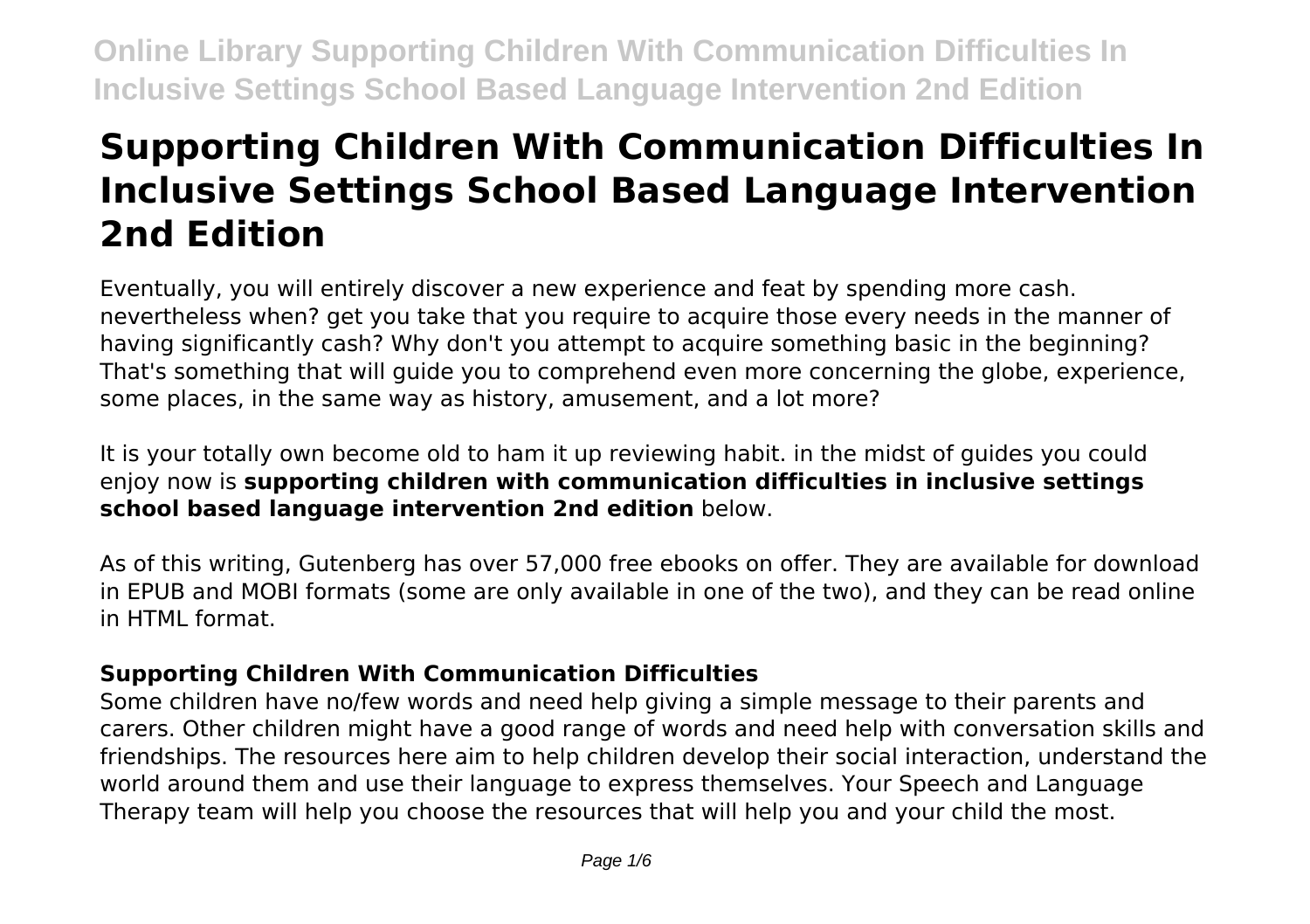# **Supporting Children With Communication Difficulties In Inclusive Settings School Based Language Intervention 2nd Edition**

Eventually, you will entirely discover a new experience and feat by spending more cash. nevertheless when? get you take that you require to acquire those every needs in the manner of having significantly cash? Why don't you attempt to acquire something basic in the beginning? That's something that will guide you to comprehend even more concerning the globe, experience, some places, in the same way as history, amusement, and a lot more?

It is your totally own become old to ham it up reviewing habit. in the midst of guides you could enjoy now is **supporting children with communication difficulties in inclusive settings school based language intervention 2nd edition** below.

As of this writing, Gutenberg has over 57,000 free ebooks on offer. They are available for download in EPUB and MOBI formats (some are only available in one of the two), and they can be read online in HTML format.

# **Supporting Children With Communication Difficulties**

Some children have no/few words and need help giving a simple message to their parents and carers. Other children might have a good range of words and need help with conversation skills and friendships. The resources here aim to help children develop their social interaction, understand the world around them and use their language to express themselves. Your Speech and Language Therapy team will help you choose the resources that will help you and your child the most.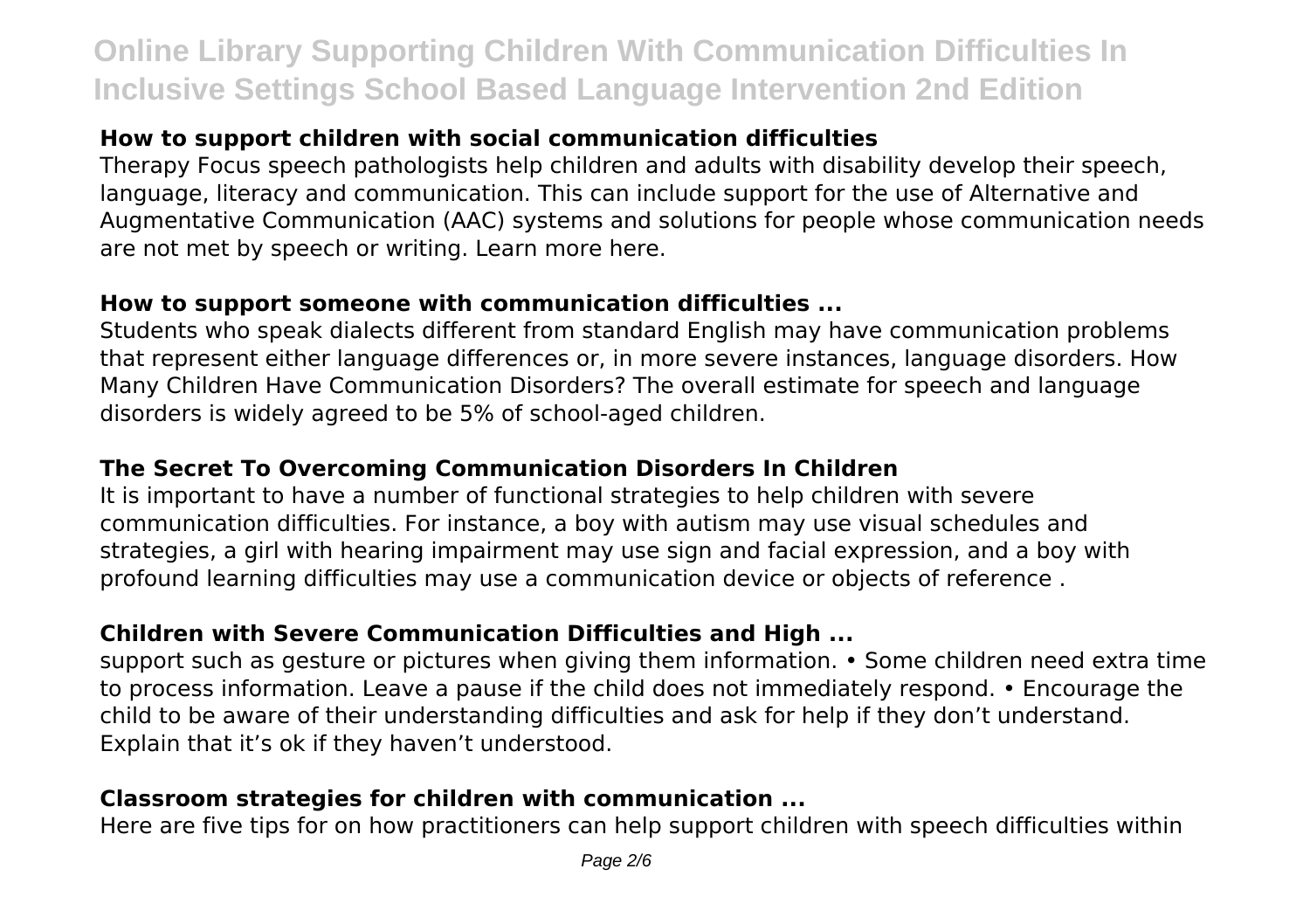# **How to support children with social communication difficulties**

Therapy Focus speech pathologists help children and adults with disability develop their speech, language, literacy and communication. This can include support for the use of Alternative and Augmentative Communication (AAC) systems and solutions for people whose communication needs are not met by speech or writing. Learn more here.

#### **How to support someone with communication difficulties ...**

Students who speak dialects different from standard English may have communication problems that represent either language differences or, in more severe instances, language disorders. How Many Children Have Communication Disorders? The overall estimate for speech and language disorders is widely agreed to be 5% of school-aged children.

### **The Secret To Overcoming Communication Disorders In Children**

It is important to have a number of functional strategies to help children with severe communication difficulties. For instance, a boy with autism may use visual schedules and strategies, a girl with hearing impairment may use sign and facial expression, and a boy with profound learning difficulties may use a communication device or objects of reference .

# **Children with Severe Communication Difficulties and High ...**

support such as gesture or pictures when giving them information. • Some children need extra time to process information. Leave a pause if the child does not immediately respond. • Encourage the child to be aware of their understanding difficulties and ask for help if they don't understand. Explain that it's ok if they haven't understood.

### **Classroom strategies for children with communication ...**

Here are five tips for on how practitioners can help support children with speech difficulties within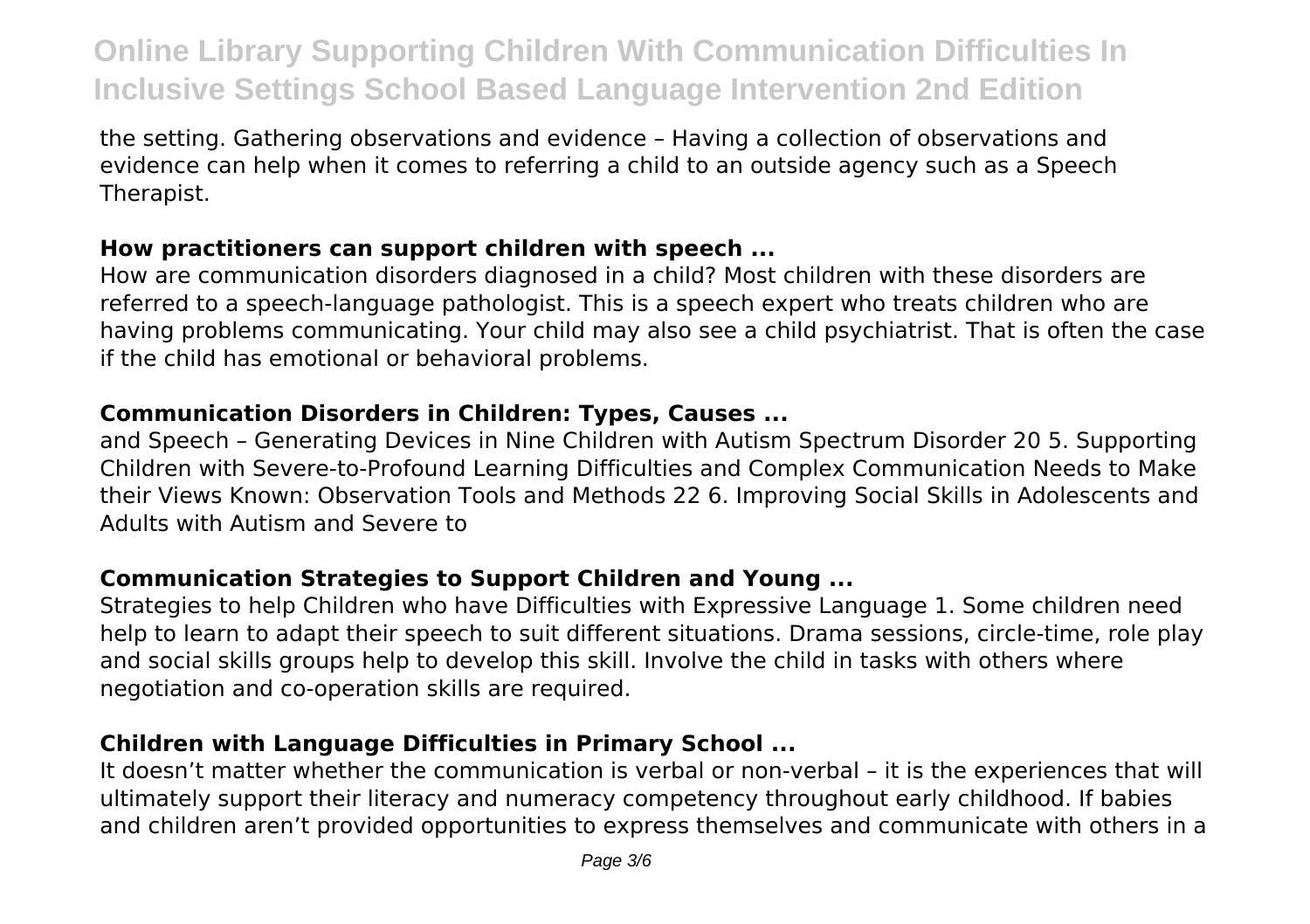the setting. Gathering observations and evidence – Having a collection of observations and evidence can help when it comes to referring a child to an outside agency such as a Speech Therapist.

#### **How practitioners can support children with speech ...**

How are communication disorders diagnosed in a child? Most children with these disorders are referred to a speech-language pathologist. This is a speech expert who treats children who are having problems communicating. Your child may also see a child psychiatrist. That is often the case if the child has emotional or behavioral problems.

### **Communication Disorders in Children: Types, Causes ...**

and Speech – Generating Devices in Nine Children with Autism Spectrum Disorder 20 5. Supporting Children with Severe-to-Profound Learning Difficulties and Complex Communication Needs to Make their Views Known: Observation Tools and Methods 22 6. Improving Social Skills in Adolescents and Adults with Autism and Severe to

# **Communication Strategies to Support Children and Young ...**

Strategies to help Children who have Difficulties with Expressive Language 1. Some children need help to learn to adapt their speech to suit different situations. Drama sessions, circle-time, role play and social skills groups help to develop this skill. Involve the child in tasks with others where negotiation and co-operation skills are required.

# **Children with Language Difficulties in Primary School ...**

It doesn't matter whether the communication is verbal or non-verbal – it is the experiences that will ultimately support their literacy and numeracy competency throughout early childhood. If babies and children aren't provided opportunities to express themselves and communicate with others in a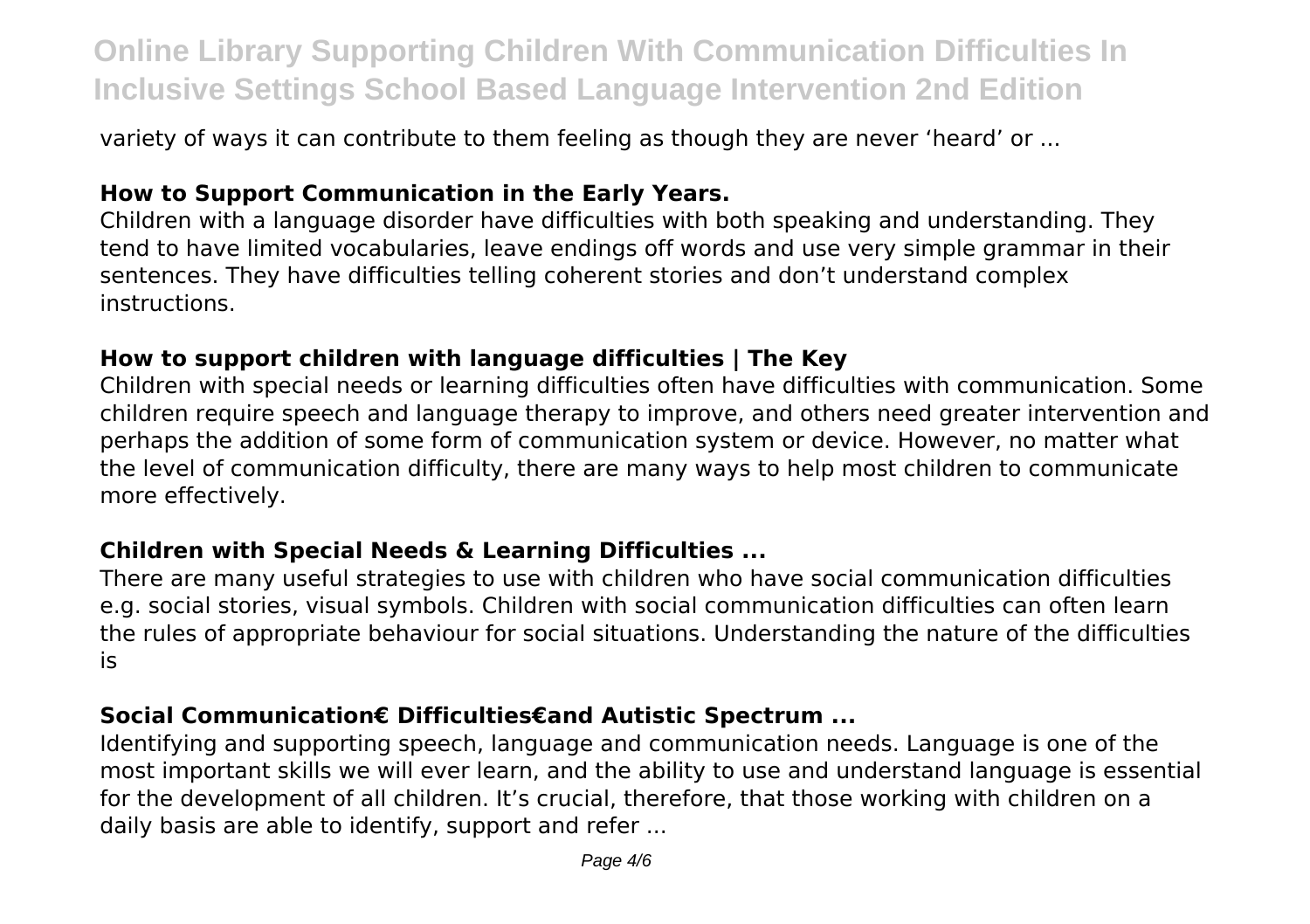variety of ways it can contribute to them feeling as though they are never 'heard' or ...

### **How to Support Communication in the Early Years.**

Children with a language disorder have difficulties with both speaking and understanding. They tend to have limited vocabularies, leave endings off words and use very simple grammar in their sentences. They have difficulties telling coherent stories and don't understand complex instructions.

#### **How to support children with language difficulties | The Key**

Children with special needs or learning difficulties often have difficulties with communication. Some children require speech and language therapy to improve, and others need greater intervention and perhaps the addition of some form of communication system or device. However, no matter what the level of communication difficulty, there are many ways to help most children to communicate more effectively.

#### **Children with Special Needs & Learning Difficulties ...**

There are many useful strategies to use with children who have social communication difficulties e.g. social stories, visual symbols. Children with social communication difficulties can often learn the rules of appropriate behaviour for social situations. Understanding the nature of the difficulties is

### **Social Communication€ Difficulties€and Autistic Spectrum ...**

Identifying and supporting speech, language and communication needs. Language is one of the most important skills we will ever learn, and the ability to use and understand language is essential for the development of all children. It's crucial, therefore, that those working with children on a daily basis are able to identify, support and refer ...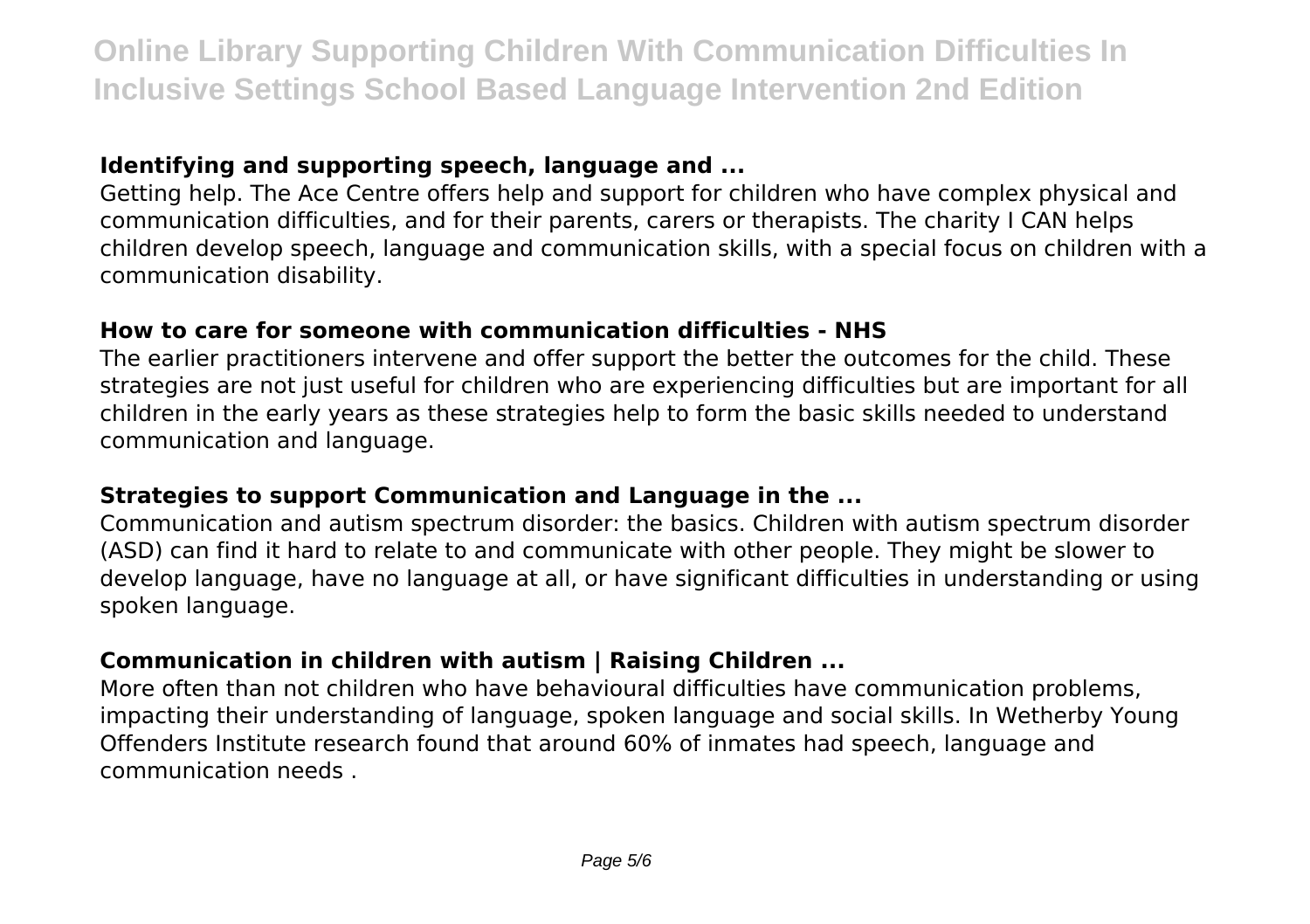## **Identifying and supporting speech, language and ...**

Getting help. The Ace Centre offers help and support for children who have complex physical and communication difficulties, and for their parents, carers or therapists. The charity I CAN helps children develop speech, language and communication skills, with a special focus on children with a communication disability.

## **How to care for someone with communication difficulties - NHS**

The earlier practitioners intervene and offer support the better the outcomes for the child. These strategies are not just useful for children who are experiencing difficulties but are important for all children in the early years as these strategies help to form the basic skills needed to understand communication and language.

### **Strategies to support Communication and Language in the ...**

Communication and autism spectrum disorder: the basics. Children with autism spectrum disorder (ASD) can find it hard to relate to and communicate with other people. They might be slower to develop language, have no language at all, or have significant difficulties in understanding or using spoken language.

# **Communication in children with autism | Raising Children ...**

More often than not children who have behavioural difficulties have communication problems, impacting their understanding of language, spoken language and social skills. In Wetherby Young Offenders Institute research found that around 60% of inmates had speech, language and communication needs .